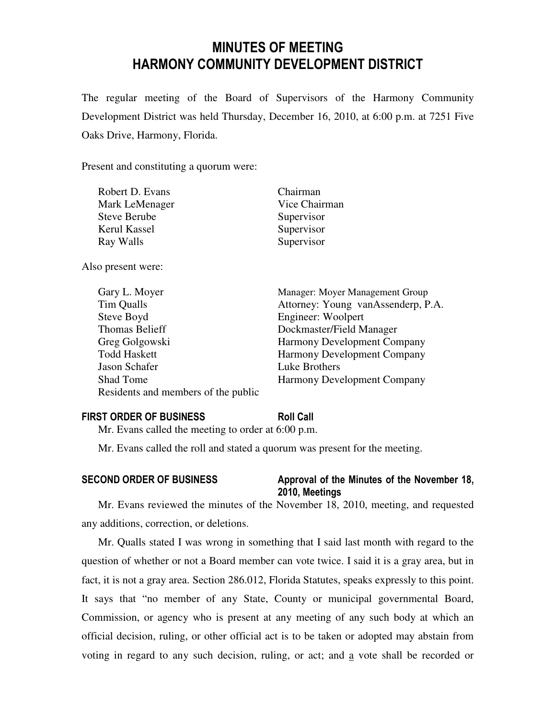# MINUTES OF MEETING HARMONY COMMUNITY DEVELOPMENT DISTRICT

The regular meeting of the Board of Supervisors of the Harmony Community Development District was held Thursday, December 16, 2010, at 6:00 p.m. at 7251 Five Oaks Drive, Harmony, Florida.

Present and constituting a quorum were:

| Robert D. Evans     | Chairman      |
|---------------------|---------------|
| Mark LeMenager      | Vice Chairman |
| <b>Steve Berube</b> | Supervisor    |
| Kerul Kassel        | Supervisor    |
| Ray Walls           | Supervisor    |

Also present were:

| Gary L. Moyer                       | Manager: Moyer Management Group    |
|-------------------------------------|------------------------------------|
| Tim Qualls                          | Attorney: Young vanAssenderp, P.A. |
| Steve Boyd                          | Engineer: Woolpert                 |
| Thomas Belieff                      | Dockmaster/Field Manager           |
| Greg Golgowski                      | <b>Harmony Development Company</b> |
| <b>Todd Haskett</b>                 | <b>Harmony Development Company</b> |
| Jason Schafer                       | Luke Brothers                      |
| <b>Shad Tome</b>                    | <b>Harmony Development Company</b> |
| Residents and members of the public |                                    |

#### FIRST ORDER OF BUSINESS Roll Call

Mr. Evans called the meeting to order at 6:00 p.m.

Mr. Evans called the roll and stated a quorum was present for the meeting.

### SECOND ORDER OF BUSINESS Approval of the Minutes of the November 18,

# 2010, Meetings

Mr. Evans reviewed the minutes of the November 18, 2010, meeting, and requested any additions, correction, or deletions.

Mr. Qualls stated I was wrong in something that I said last month with regard to the question of whether or not a Board member can vote twice. I said it is a gray area, but in fact, it is not a gray area. Section 286.012, Florida Statutes, speaks expressly to this point. It says that "no member of any State, County or municipal governmental Board, Commission, or agency who is present at any meeting of any such body at which an official decision, ruling, or other official act is to be taken or adopted may abstain from voting in regard to any such decision, ruling, or act; and a vote shall be recorded or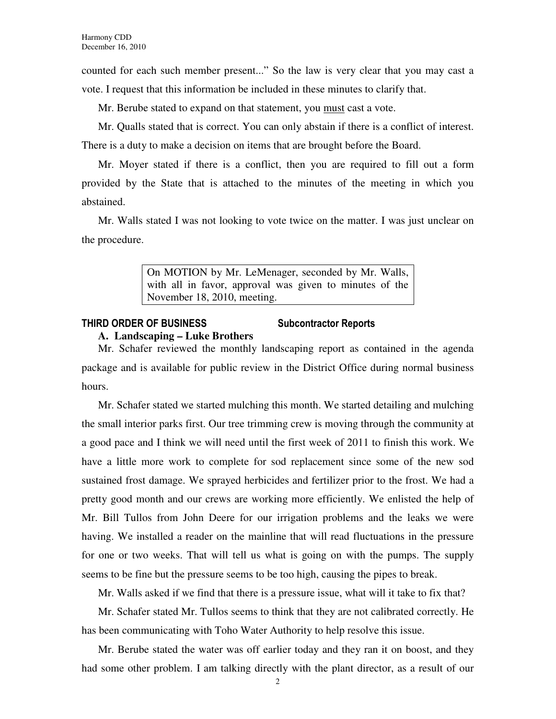counted for each such member present..." So the law is very clear that you may cast a vote. I request that this information be included in these minutes to clarify that.

Mr. Berube stated to expand on that statement, you must cast a vote.

Mr. Qualls stated that is correct. You can only abstain if there is a conflict of interest. There is a duty to make a decision on items that are brought before the Board.

Mr. Moyer stated if there is a conflict, then you are required to fill out a form provided by the State that is attached to the minutes of the meeting in which you abstained.

Mr. Walls stated I was not looking to vote twice on the matter. I was just unclear on the procedure.

> On MOTION by Mr. LeMenager, seconded by Mr. Walls, with all in favor, approval was given to minutes of the November 18, 2010, meeting.

# THIRD ORDER OF BUSINESS Subcontractor Reports

#### **A. Landscaping – Luke Brothers**

Mr. Schafer reviewed the monthly landscaping report as contained in the agenda package and is available for public review in the District Office during normal business hours.

Mr. Schafer stated we started mulching this month. We started detailing and mulching the small interior parks first. Our tree trimming crew is moving through the community at a good pace and I think we will need until the first week of 2011 to finish this work. We have a little more work to complete for sod replacement since some of the new sod sustained frost damage. We sprayed herbicides and fertilizer prior to the frost. We had a pretty good month and our crews are working more efficiently. We enlisted the help of Mr. Bill Tullos from John Deere for our irrigation problems and the leaks we were having. We installed a reader on the mainline that will read fluctuations in the pressure for one or two weeks. That will tell us what is going on with the pumps. The supply seems to be fine but the pressure seems to be too high, causing the pipes to break.

Mr. Walls asked if we find that there is a pressure issue, what will it take to fix that?

Mr. Schafer stated Mr. Tullos seems to think that they are not calibrated correctly. He has been communicating with Toho Water Authority to help resolve this issue.

Mr. Berube stated the water was off earlier today and they ran it on boost, and they had some other problem. I am talking directly with the plant director, as a result of our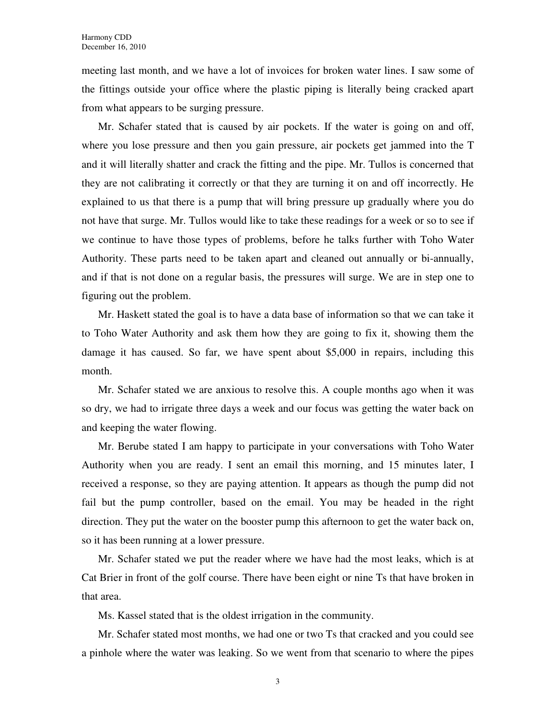meeting last month, and we have a lot of invoices for broken water lines. I saw some of the fittings outside your office where the plastic piping is literally being cracked apart from what appears to be surging pressure.

Mr. Schafer stated that is caused by air pockets. If the water is going on and off, where you lose pressure and then you gain pressure, air pockets get jammed into the T and it will literally shatter and crack the fitting and the pipe. Mr. Tullos is concerned that they are not calibrating it correctly or that they are turning it on and off incorrectly. He explained to us that there is a pump that will bring pressure up gradually where you do not have that surge. Mr. Tullos would like to take these readings for a week or so to see if we continue to have those types of problems, before he talks further with Toho Water Authority. These parts need to be taken apart and cleaned out annually or bi-annually, and if that is not done on a regular basis, the pressures will surge. We are in step one to figuring out the problem.

Mr. Haskett stated the goal is to have a data base of information so that we can take it to Toho Water Authority and ask them how they are going to fix it, showing them the damage it has caused. So far, we have spent about \$5,000 in repairs, including this month.

Mr. Schafer stated we are anxious to resolve this. A couple months ago when it was so dry, we had to irrigate three days a week and our focus was getting the water back on and keeping the water flowing.

Mr. Berube stated I am happy to participate in your conversations with Toho Water Authority when you are ready. I sent an email this morning, and 15 minutes later, I received a response, so they are paying attention. It appears as though the pump did not fail but the pump controller, based on the email. You may be headed in the right direction. They put the water on the booster pump this afternoon to get the water back on, so it has been running at a lower pressure.

Mr. Schafer stated we put the reader where we have had the most leaks, which is at Cat Brier in front of the golf course. There have been eight or nine Ts that have broken in that area.

Ms. Kassel stated that is the oldest irrigation in the community.

Mr. Schafer stated most months, we had one or two Ts that cracked and you could see a pinhole where the water was leaking. So we went from that scenario to where the pipes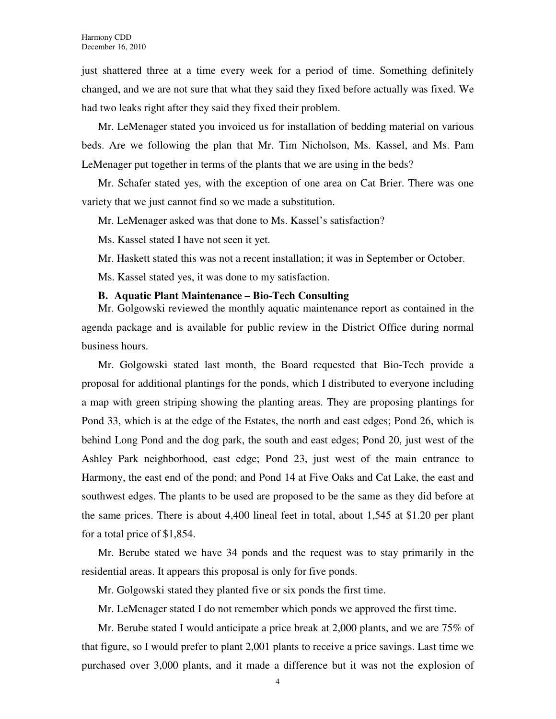just shattered three at a time every week for a period of time. Something definitely changed, and we are not sure that what they said they fixed before actually was fixed. We had two leaks right after they said they fixed their problem.

Mr. LeMenager stated you invoiced us for installation of bedding material on various beds. Are we following the plan that Mr. Tim Nicholson, Ms. Kassel, and Ms. Pam LeMenager put together in terms of the plants that we are using in the beds?

Mr. Schafer stated yes, with the exception of one area on Cat Brier. There was one variety that we just cannot find so we made a substitution.

Mr. LeMenager asked was that done to Ms. Kassel's satisfaction?

Ms. Kassel stated I have not seen it yet.

Mr. Haskett stated this was not a recent installation; it was in September or October.

Ms. Kassel stated yes, it was done to my satisfaction.

#### **B. Aquatic Plant Maintenance – Bio-Tech Consulting**

Mr. Golgowski reviewed the monthly aquatic maintenance report as contained in the agenda package and is available for public review in the District Office during normal business hours.

Mr. Golgowski stated last month, the Board requested that Bio-Tech provide a proposal for additional plantings for the ponds, which I distributed to everyone including a map with green striping showing the planting areas. They are proposing plantings for Pond 33, which is at the edge of the Estates, the north and east edges; Pond 26, which is behind Long Pond and the dog park, the south and east edges; Pond 20, just west of the Ashley Park neighborhood, east edge; Pond 23, just west of the main entrance to Harmony, the east end of the pond; and Pond 14 at Five Oaks and Cat Lake, the east and southwest edges. The plants to be used are proposed to be the same as they did before at the same prices. There is about 4,400 lineal feet in total, about 1,545 at \$1.20 per plant for a total price of \$1,854.

Mr. Berube stated we have 34 ponds and the request was to stay primarily in the residential areas. It appears this proposal is only for five ponds.

Mr. Golgowski stated they planted five or six ponds the first time.

Mr. LeMenager stated I do not remember which ponds we approved the first time.

Mr. Berube stated I would anticipate a price break at 2,000 plants, and we are 75% of that figure, so I would prefer to plant 2,001 plants to receive a price savings. Last time we purchased over 3,000 plants, and it made a difference but it was not the explosion of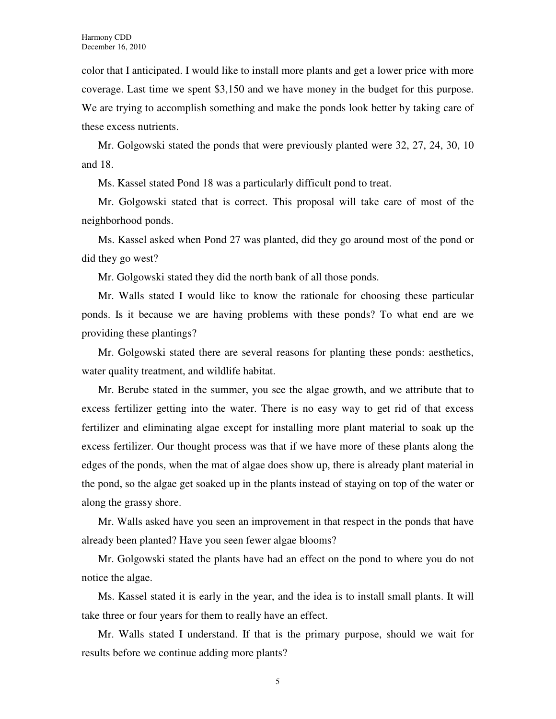color that I anticipated. I would like to install more plants and get a lower price with more coverage. Last time we spent \$3,150 and we have money in the budget for this purpose. We are trying to accomplish something and make the ponds look better by taking care of these excess nutrients.

Mr. Golgowski stated the ponds that were previously planted were 32, 27, 24, 30, 10 and 18.

Ms. Kassel stated Pond 18 was a particularly difficult pond to treat.

Mr. Golgowski stated that is correct. This proposal will take care of most of the neighborhood ponds.

Ms. Kassel asked when Pond 27 was planted, did they go around most of the pond or did they go west?

Mr. Golgowski stated they did the north bank of all those ponds.

Mr. Walls stated I would like to know the rationale for choosing these particular ponds. Is it because we are having problems with these ponds? To what end are we providing these plantings?

Mr. Golgowski stated there are several reasons for planting these ponds: aesthetics, water quality treatment, and wildlife habitat.

Mr. Berube stated in the summer, you see the algae growth, and we attribute that to excess fertilizer getting into the water. There is no easy way to get rid of that excess fertilizer and eliminating algae except for installing more plant material to soak up the excess fertilizer. Our thought process was that if we have more of these plants along the edges of the ponds, when the mat of algae does show up, there is already plant material in the pond, so the algae get soaked up in the plants instead of staying on top of the water or along the grassy shore.

Mr. Walls asked have you seen an improvement in that respect in the ponds that have already been planted? Have you seen fewer algae blooms?

Mr. Golgowski stated the plants have had an effect on the pond to where you do not notice the algae.

Ms. Kassel stated it is early in the year, and the idea is to install small plants. It will take three or four years for them to really have an effect.

Mr. Walls stated I understand. If that is the primary purpose, should we wait for results before we continue adding more plants?

5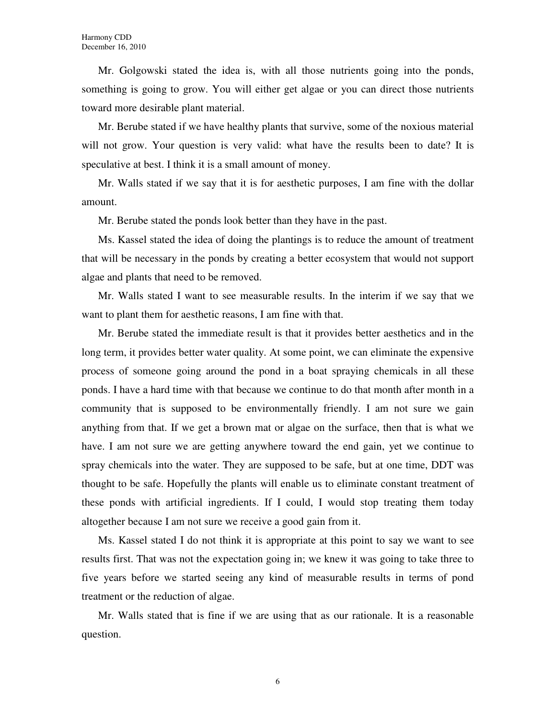Mr. Golgowski stated the idea is, with all those nutrients going into the ponds, something is going to grow. You will either get algae or you can direct those nutrients toward more desirable plant material.

Mr. Berube stated if we have healthy plants that survive, some of the noxious material will not grow. Your question is very valid: what have the results been to date? It is speculative at best. I think it is a small amount of money.

Mr. Walls stated if we say that it is for aesthetic purposes, I am fine with the dollar amount.

Mr. Berube stated the ponds look better than they have in the past.

Ms. Kassel stated the idea of doing the plantings is to reduce the amount of treatment that will be necessary in the ponds by creating a better ecosystem that would not support algae and plants that need to be removed.

Mr. Walls stated I want to see measurable results. In the interim if we say that we want to plant them for aesthetic reasons, I am fine with that.

Mr. Berube stated the immediate result is that it provides better aesthetics and in the long term, it provides better water quality. At some point, we can eliminate the expensive process of someone going around the pond in a boat spraying chemicals in all these ponds. I have a hard time with that because we continue to do that month after month in a community that is supposed to be environmentally friendly. I am not sure we gain anything from that. If we get a brown mat or algae on the surface, then that is what we have. I am not sure we are getting anywhere toward the end gain, yet we continue to spray chemicals into the water. They are supposed to be safe, but at one time, DDT was thought to be safe. Hopefully the plants will enable us to eliminate constant treatment of these ponds with artificial ingredients. If I could, I would stop treating them today altogether because I am not sure we receive a good gain from it.

Ms. Kassel stated I do not think it is appropriate at this point to say we want to see results first. That was not the expectation going in; we knew it was going to take three to five years before we started seeing any kind of measurable results in terms of pond treatment or the reduction of algae.

Mr. Walls stated that is fine if we are using that as our rationale. It is a reasonable question.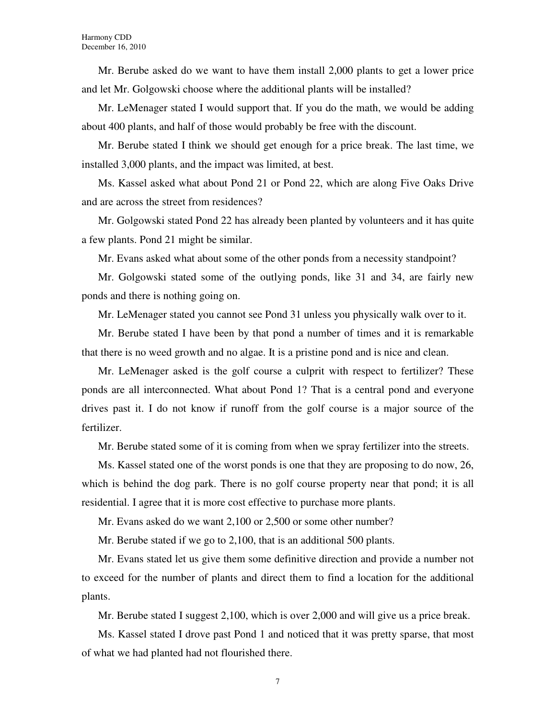Mr. Berube asked do we want to have them install 2,000 plants to get a lower price and let Mr. Golgowski choose where the additional plants will be installed?

Mr. LeMenager stated I would support that. If you do the math, we would be adding about 400 plants, and half of those would probably be free with the discount.

Mr. Berube stated I think we should get enough for a price break. The last time, we installed 3,000 plants, and the impact was limited, at best.

Ms. Kassel asked what about Pond 21 or Pond 22, which are along Five Oaks Drive and are across the street from residences?

Mr. Golgowski stated Pond 22 has already been planted by volunteers and it has quite a few plants. Pond 21 might be similar.

Mr. Evans asked what about some of the other ponds from a necessity standpoint?

Mr. Golgowski stated some of the outlying ponds, like 31 and 34, are fairly new ponds and there is nothing going on.

Mr. LeMenager stated you cannot see Pond 31 unless you physically walk over to it.

Mr. Berube stated I have been by that pond a number of times and it is remarkable that there is no weed growth and no algae. It is a pristine pond and is nice and clean.

Mr. LeMenager asked is the golf course a culprit with respect to fertilizer? These ponds are all interconnected. What about Pond 1? That is a central pond and everyone drives past it. I do not know if runoff from the golf course is a major source of the fertilizer.

Mr. Berube stated some of it is coming from when we spray fertilizer into the streets.

Ms. Kassel stated one of the worst ponds is one that they are proposing to do now, 26, which is behind the dog park. There is no golf course property near that pond; it is all residential. I agree that it is more cost effective to purchase more plants.

Mr. Evans asked do we want 2,100 or 2,500 or some other number?

Mr. Berube stated if we go to 2,100, that is an additional 500 plants.

Mr. Evans stated let us give them some definitive direction and provide a number not to exceed for the number of plants and direct them to find a location for the additional plants.

Mr. Berube stated I suggest 2,100, which is over 2,000 and will give us a price break.

Ms. Kassel stated I drove past Pond 1 and noticed that it was pretty sparse, that most of what we had planted had not flourished there.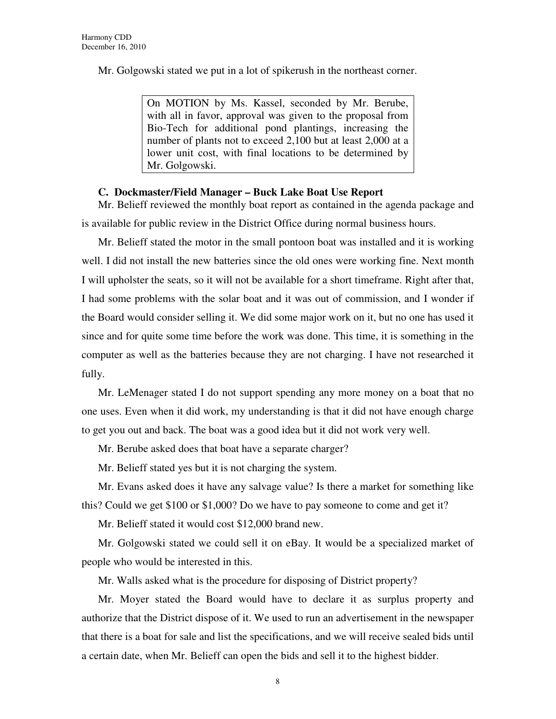Mr. Golgowski stated we put in a lot of spikerush in the northeast corner.

On MOTION by Ms. Kassel, seconded by Mr. Berube, with all in favor, approval was given to the proposal from Bio-Tech for additional pond plantings, increasing the number of plants not to exceed 2,100 but at least 2,000 at a lower unit cost, with final locations to be determined by Mr. Golgowski.

#### **C. Dockmaster/Field Manager – Buck Lake Boat Use Report**

Mr. Belieff reviewed the monthly boat report as contained in the agenda package and is available for public review in the District Office during normal business hours.

Mr. Belieff stated the motor in the small pontoon boat was installed and it is working well. I did not install the new batteries since the old ones were working fine. Next month I will upholster the seats, so it will not be available for a short timeframe. Right after that, I had some problems with the solar boat and it was out of commission, and I wonder if the Board would consider selling it. We did some major work on it, but no one has used it since and for quite some time before the work was done. This time, it is something in the computer as well as the batteries because they are not charging. I have not researched it fully.

Mr. LeMenager stated I do not support spending any more money on a boat that no one uses. Even when it did work, my understanding is that it did not have enough charge to get you out and back. The boat was a good idea but it did not work very well.

Mr. Berube asked does that boat have a separate charger?

Mr. Belieff stated yes but it is not charging the system.

Mr. Evans asked does it have any salvage value? Is there a market for something like this? Could we get \$100 or \$1,000? Do we have to pay someone to come and get it?

Mr. Belieff stated it would cost \$12,000 brand new.

Mr. Golgowski stated we could sell it on eBay. It would be a specialized market of people who would be interested in this.

Mr. Walls asked what is the procedure for disposing of District property?

Mr. Moyer stated the Board would have to declare it as surplus property and authorize that the District dispose of it. We used to run an advertisement in the newspaper that there is a boat for sale and list the specifications, and we will receive sealed bids until a certain date, when Mr. Belieff can open the bids and sell it to the highest bidder.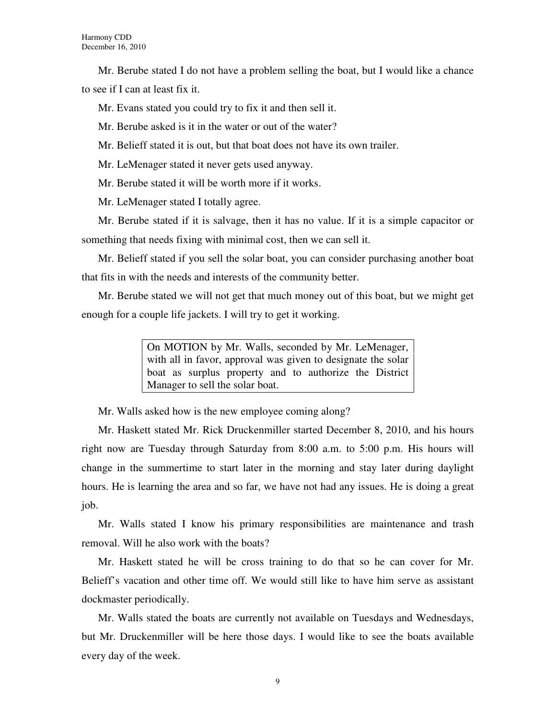Mr. Berube stated I do not have a problem selling the boat, but I would like a chance to see if I can at least fix it.

Mr. Evans stated you could try to fix it and then sell it.

Mr. Berube asked is it in the water or out of the water?

Mr. Belieff stated it is out, but that boat does not have its own trailer.

Mr. LeMenager stated it never gets used anyway.

Mr. Berube stated it will be worth more if it works.

Mr. LeMenager stated I totally agree.

Mr. Berube stated if it is salvage, then it has no value. If it is a simple capacitor or something that needs fixing with minimal cost, then we can sell it.

Mr. Belieff stated if you sell the solar boat, you can consider purchasing another boat that fits in with the needs and interests of the community better.

Mr. Berube stated we will not get that much money out of this boat, but we might get enough for a couple life jackets. I will try to get it working.

> On MOTION by Mr. Walls, seconded by Mr. LeMenager, with all in favor, approval was given to designate the solar boat as surplus property and to authorize the District Manager to sell the solar boat.

Mr. Walls asked how is the new employee coming along?

Mr. Haskett stated Mr. Rick Druckenmiller started December 8, 2010, and his hours right now are Tuesday through Saturday from 8:00 a.m. to 5:00 p.m. His hours will change in the summertime to start later in the morning and stay later during daylight hours. He is learning the area and so far, we have not had any issues. He is doing a great job.

Mr. Walls stated I know his primary responsibilities are maintenance and trash removal. Will he also work with the boats?

Mr. Haskett stated he will be cross training to do that so he can cover for Mr. Belieff's vacation and other time off. We would still like to have him serve as assistant dockmaster periodically.

Mr. Walls stated the boats are currently not available on Tuesdays and Wednesdays, but Mr. Druckenmiller will be here those days. I would like to see the boats available every day of the week.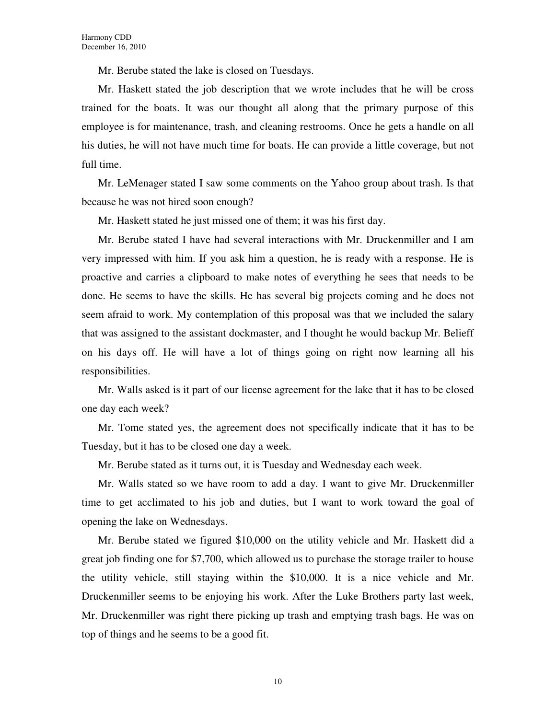Mr. Berube stated the lake is closed on Tuesdays.

Mr. Haskett stated the job description that we wrote includes that he will be cross trained for the boats. It was our thought all along that the primary purpose of this employee is for maintenance, trash, and cleaning restrooms. Once he gets a handle on all his duties, he will not have much time for boats. He can provide a little coverage, but not full time.

Mr. LeMenager stated I saw some comments on the Yahoo group about trash. Is that because he was not hired soon enough?

Mr. Haskett stated he just missed one of them; it was his first day.

Mr. Berube stated I have had several interactions with Mr. Druckenmiller and I am very impressed with him. If you ask him a question, he is ready with a response. He is proactive and carries a clipboard to make notes of everything he sees that needs to be done. He seems to have the skills. He has several big projects coming and he does not seem afraid to work. My contemplation of this proposal was that we included the salary that was assigned to the assistant dockmaster, and I thought he would backup Mr. Belieff on his days off. He will have a lot of things going on right now learning all his responsibilities.

Mr. Walls asked is it part of our license agreement for the lake that it has to be closed one day each week?

Mr. Tome stated yes, the agreement does not specifically indicate that it has to be Tuesday, but it has to be closed one day a week.

Mr. Berube stated as it turns out, it is Tuesday and Wednesday each week.

Mr. Walls stated so we have room to add a day. I want to give Mr. Druckenmiller time to get acclimated to his job and duties, but I want to work toward the goal of opening the lake on Wednesdays.

Mr. Berube stated we figured \$10,000 on the utility vehicle and Mr. Haskett did a great job finding one for \$7,700, which allowed us to purchase the storage trailer to house the utility vehicle, still staying within the \$10,000. It is a nice vehicle and Mr. Druckenmiller seems to be enjoying his work. After the Luke Brothers party last week, Mr. Druckenmiller was right there picking up trash and emptying trash bags. He was on top of things and he seems to be a good fit.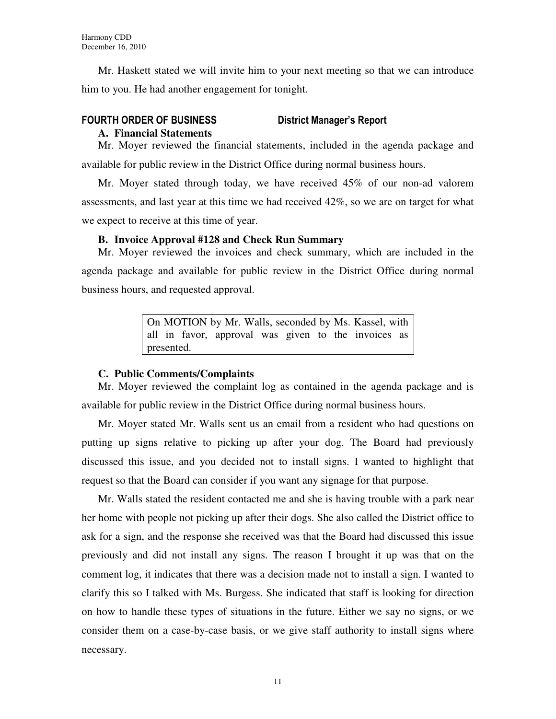Mr. Haskett stated we will invite him to your next meeting so that we can introduce him to you. He had another engagement for tonight.

#### FOURTH ORDER OF BUSINESS District Manager's Report

#### **A. Financial Statements**

Mr. Moyer reviewed the financial statements, included in the agenda package and available for public review in the District Office during normal business hours.

Mr. Moyer stated through today, we have received 45% of our non-ad valorem assessments, and last year at this time we had received 42%, so we are on target for what we expect to receive at this time of year.

#### **B. Invoice Approval #128 and Check Run Summary**

Mr. Moyer reviewed the invoices and check summary, which are included in the agenda package and available for public review in the District Office during normal business hours, and requested approval.

> On MOTION by Mr. Walls, seconded by Ms. Kassel, with all in favor, approval was given to the invoices as presented.

#### **C. Public Comments/Complaints**

Mr. Moyer reviewed the complaint log as contained in the agenda package and is available for public review in the District Office during normal business hours.

Mr. Moyer stated Mr. Walls sent us an email from a resident who had questions on putting up signs relative to picking up after your dog. The Board had previously discussed this issue, and you decided not to install signs. I wanted to highlight that request so that the Board can consider if you want any signage for that purpose.

Mr. Walls stated the resident contacted me and she is having trouble with a park near her home with people not picking up after their dogs. She also called the District office to ask for a sign, and the response she received was that the Board had discussed this issue previously and did not install any signs. The reason I brought it up was that on the comment log, it indicates that there was a decision made not to install a sign. I wanted to clarify this so I talked with Ms. Burgess. She indicated that staff is looking for direction on how to handle these types of situations in the future. Either we say no signs, or we consider them on a case-by-case basis, or we give staff authority to install signs where necessary.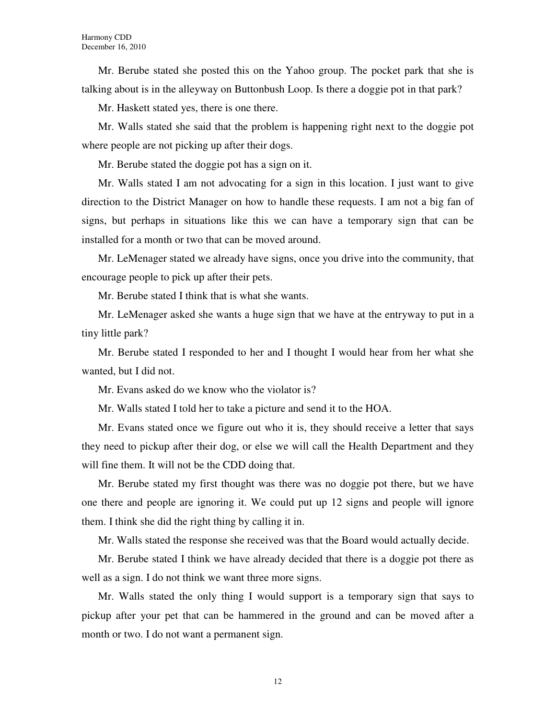Mr. Berube stated she posted this on the Yahoo group. The pocket park that she is talking about is in the alleyway on Buttonbush Loop. Is there a doggie pot in that park?

Mr. Haskett stated yes, there is one there.

Mr. Walls stated she said that the problem is happening right next to the doggie pot where people are not picking up after their dogs.

Mr. Berube stated the doggie pot has a sign on it.

Mr. Walls stated I am not advocating for a sign in this location. I just want to give direction to the District Manager on how to handle these requests. I am not a big fan of signs, but perhaps in situations like this we can have a temporary sign that can be installed for a month or two that can be moved around.

Mr. LeMenager stated we already have signs, once you drive into the community, that encourage people to pick up after their pets.

Mr. Berube stated I think that is what she wants.

Mr. LeMenager asked she wants a huge sign that we have at the entryway to put in a tiny little park?

Mr. Berube stated I responded to her and I thought I would hear from her what she wanted, but I did not.

Mr. Evans asked do we know who the violator is?

Mr. Walls stated I told her to take a picture and send it to the HOA.

Mr. Evans stated once we figure out who it is, they should receive a letter that says they need to pickup after their dog, or else we will call the Health Department and they will fine them. It will not be the CDD doing that.

Mr. Berube stated my first thought was there was no doggie pot there, but we have one there and people are ignoring it. We could put up 12 signs and people will ignore them. I think she did the right thing by calling it in.

Mr. Walls stated the response she received was that the Board would actually decide.

Mr. Berube stated I think we have already decided that there is a doggie pot there as well as a sign. I do not think we want three more signs.

Mr. Walls stated the only thing I would support is a temporary sign that says to pickup after your pet that can be hammered in the ground and can be moved after a month or two. I do not want a permanent sign.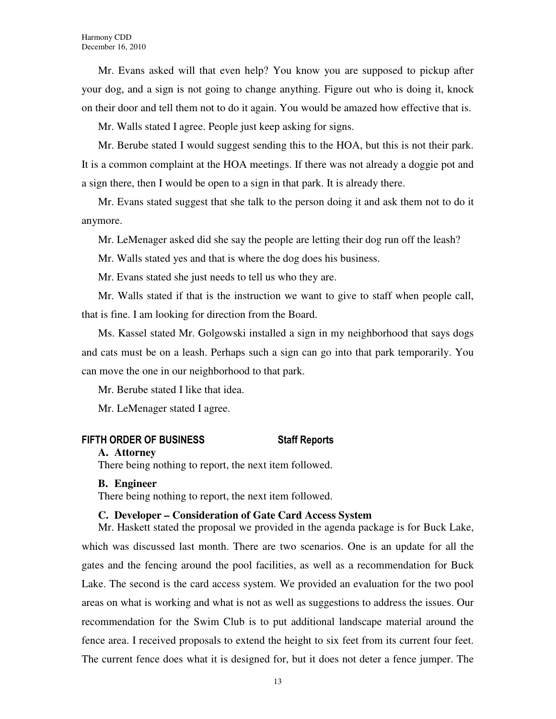Mr. Evans asked will that even help? You know you are supposed to pickup after your dog, and a sign is not going to change anything. Figure out who is doing it, knock on their door and tell them not to do it again. You would be amazed how effective that is.

Mr. Walls stated I agree. People just keep asking for signs.

Mr. Berube stated I would suggest sending this to the HOA, but this is not their park. It is a common complaint at the HOA meetings. If there was not already a doggie pot and a sign there, then I would be open to a sign in that park. It is already there.

Mr. Evans stated suggest that she talk to the person doing it and ask them not to do it anymore.

Mr. LeMenager asked did she say the people are letting their dog run off the leash?

Mr. Walls stated yes and that is where the dog does his business.

Mr. Evans stated she just needs to tell us who they are.

Mr. Walls stated if that is the instruction we want to give to staff when people call, that is fine. I am looking for direction from the Board.

Ms. Kassel stated Mr. Golgowski installed a sign in my neighborhood that says dogs and cats must be on a leash. Perhaps such a sign can go into that park temporarily. You can move the one in our neighborhood to that park.

Mr. Berube stated I like that idea.

Mr. LeMenager stated I agree.

#### FIFTH ORDER OF BUSINESS Staff Reports

#### **A. Attorney**

There being nothing to report, the next item followed.

#### **B. Engineer**

There being nothing to report, the next item followed.

#### **C. Developer – Consideration of Gate Card Access System**

Mr. Haskett stated the proposal we provided in the agenda package is for Buck Lake, which was discussed last month. There are two scenarios. One is an update for all the gates and the fencing around the pool facilities, as well as a recommendation for Buck Lake. The second is the card access system. We provided an evaluation for the two pool areas on what is working and what is not as well as suggestions to address the issues. Our recommendation for the Swim Club is to put additional landscape material around the fence area. I received proposals to extend the height to six feet from its current four feet. The current fence does what it is designed for, but it does not deter a fence jumper. The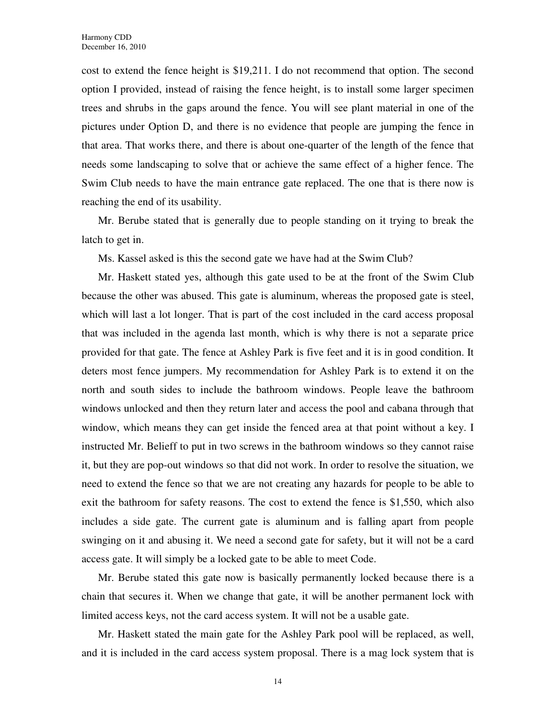cost to extend the fence height is \$19,211. I do not recommend that option. The second option I provided, instead of raising the fence height, is to install some larger specimen trees and shrubs in the gaps around the fence. You will see plant material in one of the pictures under Option D, and there is no evidence that people are jumping the fence in that area. That works there, and there is about one-quarter of the length of the fence that needs some landscaping to solve that or achieve the same effect of a higher fence. The Swim Club needs to have the main entrance gate replaced. The one that is there now is reaching the end of its usability.

Mr. Berube stated that is generally due to people standing on it trying to break the latch to get in.

Ms. Kassel asked is this the second gate we have had at the Swim Club?

Mr. Haskett stated yes, although this gate used to be at the front of the Swim Club because the other was abused. This gate is aluminum, whereas the proposed gate is steel, which will last a lot longer. That is part of the cost included in the card access proposal that was included in the agenda last month, which is why there is not a separate price provided for that gate. The fence at Ashley Park is five feet and it is in good condition. It deters most fence jumpers. My recommendation for Ashley Park is to extend it on the north and south sides to include the bathroom windows. People leave the bathroom windows unlocked and then they return later and access the pool and cabana through that window, which means they can get inside the fenced area at that point without a key. I instructed Mr. Belieff to put in two screws in the bathroom windows so they cannot raise it, but they are pop-out windows so that did not work. In order to resolve the situation, we need to extend the fence so that we are not creating any hazards for people to be able to exit the bathroom for safety reasons. The cost to extend the fence is \$1,550, which also includes a side gate. The current gate is aluminum and is falling apart from people swinging on it and abusing it. We need a second gate for safety, but it will not be a card access gate. It will simply be a locked gate to be able to meet Code.

Mr. Berube stated this gate now is basically permanently locked because there is a chain that secures it. When we change that gate, it will be another permanent lock with limited access keys, not the card access system. It will not be a usable gate.

Mr. Haskett stated the main gate for the Ashley Park pool will be replaced, as well, and it is included in the card access system proposal. There is a mag lock system that is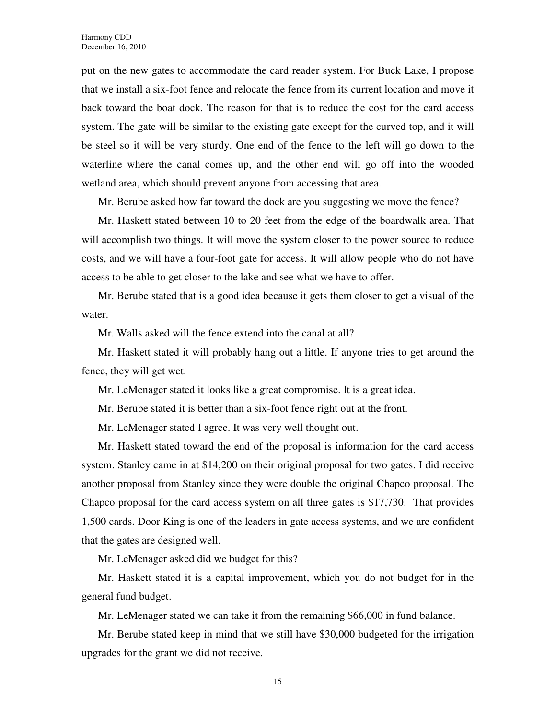put on the new gates to accommodate the card reader system. For Buck Lake, I propose that we install a six-foot fence and relocate the fence from its current location and move it back toward the boat dock. The reason for that is to reduce the cost for the card access system. The gate will be similar to the existing gate except for the curved top, and it will be steel so it will be very sturdy. One end of the fence to the left will go down to the waterline where the canal comes up, and the other end will go off into the wooded wetland area, which should prevent anyone from accessing that area.

Mr. Berube asked how far toward the dock are you suggesting we move the fence?

Mr. Haskett stated between 10 to 20 feet from the edge of the boardwalk area. That will accomplish two things. It will move the system closer to the power source to reduce costs, and we will have a four-foot gate for access. It will allow people who do not have access to be able to get closer to the lake and see what we have to offer.

Mr. Berube stated that is a good idea because it gets them closer to get a visual of the water.

Mr. Walls asked will the fence extend into the canal at all?

Mr. Haskett stated it will probably hang out a little. If anyone tries to get around the fence, they will get wet.

Mr. LeMenager stated it looks like a great compromise. It is a great idea.

Mr. Berube stated it is better than a six-foot fence right out at the front.

Mr. LeMenager stated I agree. It was very well thought out.

Mr. Haskett stated toward the end of the proposal is information for the card access system. Stanley came in at \$14,200 on their original proposal for two gates. I did receive another proposal from Stanley since they were double the original Chapco proposal. The Chapco proposal for the card access system on all three gates is \$17,730. That provides 1,500 cards. Door King is one of the leaders in gate access systems, and we are confident that the gates are designed well.

Mr. LeMenager asked did we budget for this?

Mr. Haskett stated it is a capital improvement, which you do not budget for in the general fund budget.

Mr. LeMenager stated we can take it from the remaining \$66,000 in fund balance.

Mr. Berube stated keep in mind that we still have \$30,000 budgeted for the irrigation upgrades for the grant we did not receive.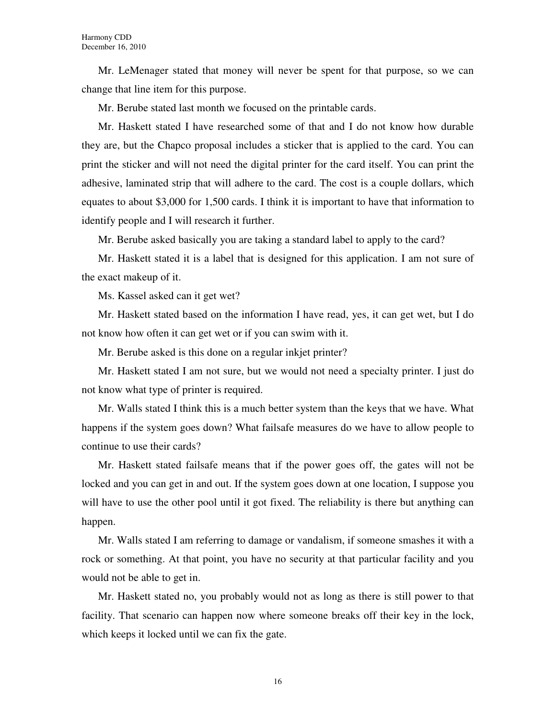Mr. LeMenager stated that money will never be spent for that purpose, so we can change that line item for this purpose.

Mr. Berube stated last month we focused on the printable cards.

Mr. Haskett stated I have researched some of that and I do not know how durable they are, but the Chapco proposal includes a sticker that is applied to the card. You can print the sticker and will not need the digital printer for the card itself. You can print the adhesive, laminated strip that will adhere to the card. The cost is a couple dollars, which equates to about \$3,000 for 1,500 cards. I think it is important to have that information to identify people and I will research it further.

Mr. Berube asked basically you are taking a standard label to apply to the card?

Mr. Haskett stated it is a label that is designed for this application. I am not sure of the exact makeup of it.

Ms. Kassel asked can it get wet?

Mr. Haskett stated based on the information I have read, yes, it can get wet, but I do not know how often it can get wet or if you can swim with it.

Mr. Berube asked is this done on a regular inkjet printer?

Mr. Haskett stated I am not sure, but we would not need a specialty printer. I just do not know what type of printer is required.

Mr. Walls stated I think this is a much better system than the keys that we have. What happens if the system goes down? What failsafe measures do we have to allow people to continue to use their cards?

Mr. Haskett stated failsafe means that if the power goes off, the gates will not be locked and you can get in and out. If the system goes down at one location, I suppose you will have to use the other pool until it got fixed. The reliability is there but anything can happen.

Mr. Walls stated I am referring to damage or vandalism, if someone smashes it with a rock or something. At that point, you have no security at that particular facility and you would not be able to get in.

Mr. Haskett stated no, you probably would not as long as there is still power to that facility. That scenario can happen now where someone breaks off their key in the lock, which keeps it locked until we can fix the gate.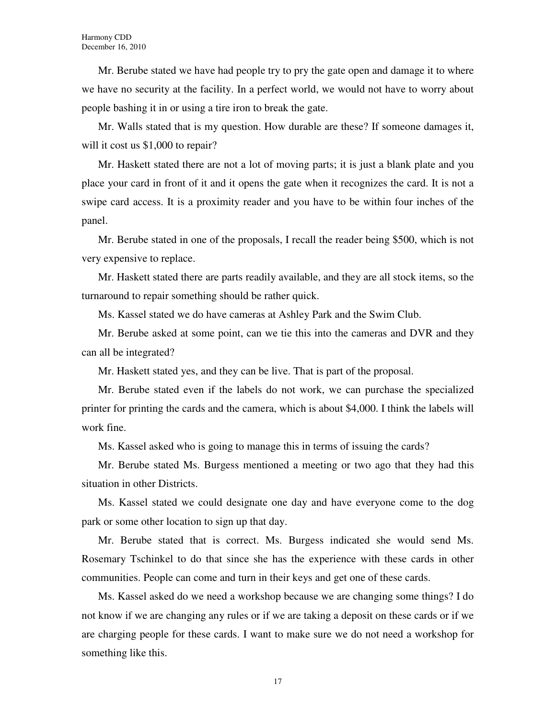Mr. Berube stated we have had people try to pry the gate open and damage it to where we have no security at the facility. In a perfect world, we would not have to worry about people bashing it in or using a tire iron to break the gate.

Mr. Walls stated that is my question. How durable are these? If someone damages it, will it cost us \$1,000 to repair?

Mr. Haskett stated there are not a lot of moving parts; it is just a blank plate and you place your card in front of it and it opens the gate when it recognizes the card. It is not a swipe card access. It is a proximity reader and you have to be within four inches of the panel.

Mr. Berube stated in one of the proposals, I recall the reader being \$500, which is not very expensive to replace.

Mr. Haskett stated there are parts readily available, and they are all stock items, so the turnaround to repair something should be rather quick.

Ms. Kassel stated we do have cameras at Ashley Park and the Swim Club.

Mr. Berube asked at some point, can we tie this into the cameras and DVR and they can all be integrated?

Mr. Haskett stated yes, and they can be live. That is part of the proposal.

Mr. Berube stated even if the labels do not work, we can purchase the specialized printer for printing the cards and the camera, which is about \$4,000. I think the labels will work fine.

Ms. Kassel asked who is going to manage this in terms of issuing the cards?

Mr. Berube stated Ms. Burgess mentioned a meeting or two ago that they had this situation in other Districts.

Ms. Kassel stated we could designate one day and have everyone come to the dog park or some other location to sign up that day.

Mr. Berube stated that is correct. Ms. Burgess indicated she would send Ms. Rosemary Tschinkel to do that since she has the experience with these cards in other communities. People can come and turn in their keys and get one of these cards.

Ms. Kassel asked do we need a workshop because we are changing some things? I do not know if we are changing any rules or if we are taking a deposit on these cards or if we are charging people for these cards. I want to make sure we do not need a workshop for something like this.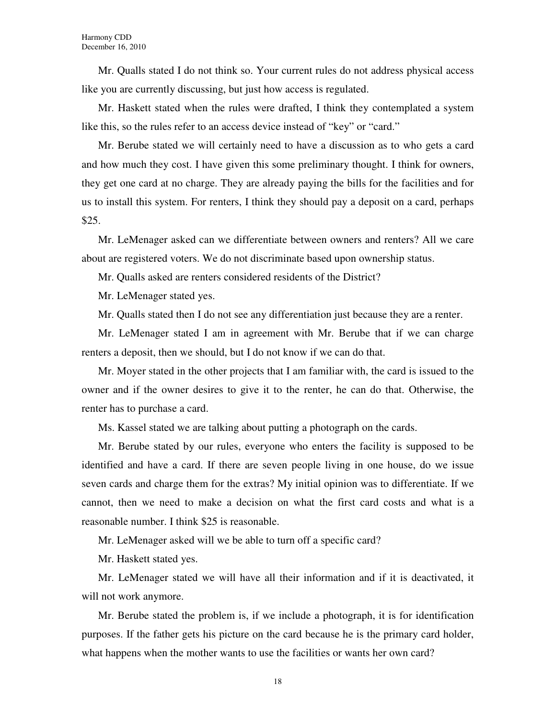Mr. Qualls stated I do not think so. Your current rules do not address physical access like you are currently discussing, but just how access is regulated.

Mr. Haskett stated when the rules were drafted, I think they contemplated a system like this, so the rules refer to an access device instead of "key" or "card."

Mr. Berube stated we will certainly need to have a discussion as to who gets a card and how much they cost. I have given this some preliminary thought. I think for owners, they get one card at no charge. They are already paying the bills for the facilities and for us to install this system. For renters, I think they should pay a deposit on a card, perhaps \$25.

Mr. LeMenager asked can we differentiate between owners and renters? All we care about are registered voters. We do not discriminate based upon ownership status.

Mr. Qualls asked are renters considered residents of the District?

Mr. LeMenager stated yes.

Mr. Qualls stated then I do not see any differentiation just because they are a renter.

Mr. LeMenager stated I am in agreement with Mr. Berube that if we can charge renters a deposit, then we should, but I do not know if we can do that.

Mr. Moyer stated in the other projects that I am familiar with, the card is issued to the owner and if the owner desires to give it to the renter, he can do that. Otherwise, the renter has to purchase a card.

Ms. Kassel stated we are talking about putting a photograph on the cards.

Mr. Berube stated by our rules, everyone who enters the facility is supposed to be identified and have a card. If there are seven people living in one house, do we issue seven cards and charge them for the extras? My initial opinion was to differentiate. If we cannot, then we need to make a decision on what the first card costs and what is a reasonable number. I think \$25 is reasonable.

Mr. LeMenager asked will we be able to turn off a specific card?

Mr. Haskett stated yes.

Mr. LeMenager stated we will have all their information and if it is deactivated, it will not work anymore.

Mr. Berube stated the problem is, if we include a photograph, it is for identification purposes. If the father gets his picture on the card because he is the primary card holder, what happens when the mother wants to use the facilities or wants her own card?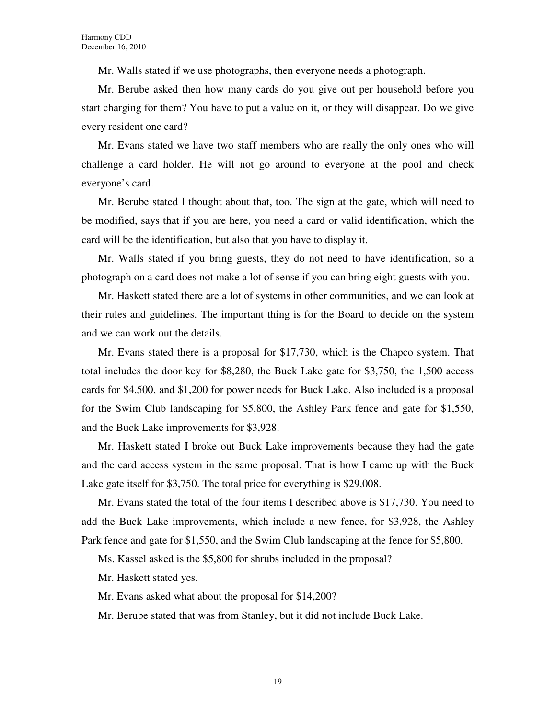Mr. Walls stated if we use photographs, then everyone needs a photograph.

Mr. Berube asked then how many cards do you give out per household before you start charging for them? You have to put a value on it, or they will disappear. Do we give every resident one card?

Mr. Evans stated we have two staff members who are really the only ones who will challenge a card holder. He will not go around to everyone at the pool and check everyone's card.

Mr. Berube stated I thought about that, too. The sign at the gate, which will need to be modified, says that if you are here, you need a card or valid identification, which the card will be the identification, but also that you have to display it.

Mr. Walls stated if you bring guests, they do not need to have identification, so a photograph on a card does not make a lot of sense if you can bring eight guests with you.

Mr. Haskett stated there are a lot of systems in other communities, and we can look at their rules and guidelines. The important thing is for the Board to decide on the system and we can work out the details.

Mr. Evans stated there is a proposal for \$17,730, which is the Chapco system. That total includes the door key for \$8,280, the Buck Lake gate for \$3,750, the 1,500 access cards for \$4,500, and \$1,200 for power needs for Buck Lake. Also included is a proposal for the Swim Club landscaping for \$5,800, the Ashley Park fence and gate for \$1,550, and the Buck Lake improvements for \$3,928.

Mr. Haskett stated I broke out Buck Lake improvements because they had the gate and the card access system in the same proposal. That is how I came up with the Buck Lake gate itself for \$3,750. The total price for everything is \$29,008.

Mr. Evans stated the total of the four items I described above is \$17,730. You need to add the Buck Lake improvements, which include a new fence, for \$3,928, the Ashley Park fence and gate for \$1,550, and the Swim Club landscaping at the fence for \$5,800.

Ms. Kassel asked is the \$5,800 for shrubs included in the proposal?

Mr. Haskett stated yes.

Mr. Evans asked what about the proposal for \$14,200?

Mr. Berube stated that was from Stanley, but it did not include Buck Lake.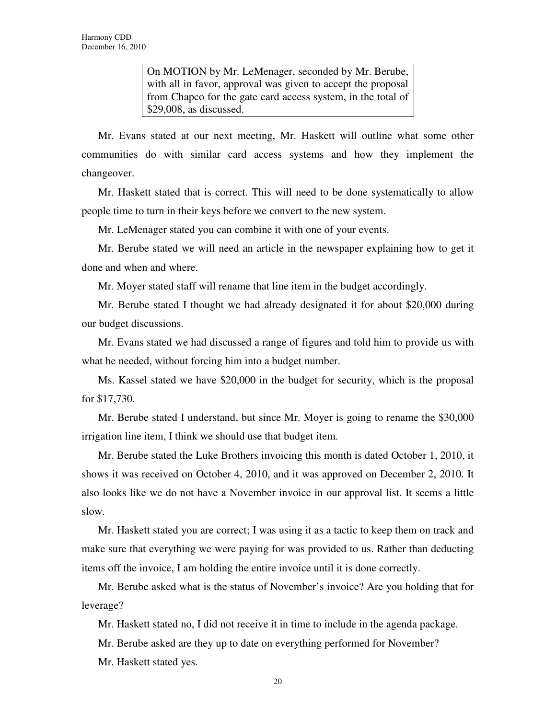On MOTION by Mr. LeMenager, seconded by Mr. Berube, with all in favor, approval was given to accept the proposal from Chapco for the gate card access system, in the total of \$29,008, as discussed.

Mr. Evans stated at our next meeting, Mr. Haskett will outline what some other communities do with similar card access systems and how they implement the changeover.

Mr. Haskett stated that is correct. This will need to be done systematically to allow people time to turn in their keys before we convert to the new system.

Mr. LeMenager stated you can combine it with one of your events.

Mr. Berube stated we will need an article in the newspaper explaining how to get it done and when and where.

Mr. Moyer stated staff will rename that line item in the budget accordingly.

Mr. Berube stated I thought we had already designated it for about \$20,000 during our budget discussions.

Mr. Evans stated we had discussed a range of figures and told him to provide us with what he needed, without forcing him into a budget number.

Ms. Kassel stated we have \$20,000 in the budget for security, which is the proposal for \$17,730.

Mr. Berube stated I understand, but since Mr. Moyer is going to rename the \$30,000 irrigation line item, I think we should use that budget item.

Mr. Berube stated the Luke Brothers invoicing this month is dated October 1, 2010, it shows it was received on October 4, 2010, and it was approved on December 2, 2010. It also looks like we do not have a November invoice in our approval list. It seems a little slow.

Mr. Haskett stated you are correct; I was using it as a tactic to keep them on track and make sure that everything we were paying for was provided to us. Rather than deducting items off the invoice, I am holding the entire invoice until it is done correctly.

Mr. Berube asked what is the status of November's invoice? Are you holding that for leverage?

Mr. Haskett stated no, I did not receive it in time to include in the agenda package.

Mr. Berube asked are they up to date on everything performed for November?

Mr. Haskett stated yes.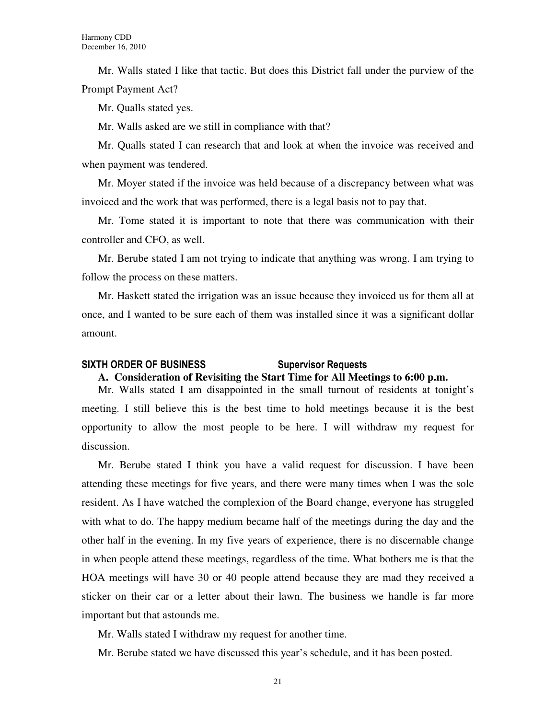Mr. Walls stated I like that tactic. But does this District fall under the purview of the Prompt Payment Act?

Mr. Qualls stated yes.

Mr. Walls asked are we still in compliance with that?

Mr. Qualls stated I can research that and look at when the invoice was received and when payment was tendered.

Mr. Moyer stated if the invoice was held because of a discrepancy between what was invoiced and the work that was performed, there is a legal basis not to pay that.

Mr. Tome stated it is important to note that there was communication with their controller and CFO, as well.

Mr. Berube stated I am not trying to indicate that anything was wrong. I am trying to follow the process on these matters.

Mr. Haskett stated the irrigation was an issue because they invoiced us for them all at once, and I wanted to be sure each of them was installed since it was a significant dollar amount.

## SIXTH ORDER OF BUSINESS Supervisor Requests

#### **A. Consideration of Revisiting the Start Time for All Meetings to 6:00 p.m.**

Mr. Walls stated I am disappointed in the small turnout of residents at tonight's meeting. I still believe this is the best time to hold meetings because it is the best opportunity to allow the most people to be here. I will withdraw my request for discussion.

Mr. Berube stated I think you have a valid request for discussion. I have been attending these meetings for five years, and there were many times when I was the sole resident. As I have watched the complexion of the Board change, everyone has struggled with what to do. The happy medium became half of the meetings during the day and the other half in the evening. In my five years of experience, there is no discernable change in when people attend these meetings, regardless of the time. What bothers me is that the HOA meetings will have 30 or 40 people attend because they are mad they received a sticker on their car or a letter about their lawn. The business we handle is far more important but that astounds me.

Mr. Walls stated I withdraw my request for another time.

Mr. Berube stated we have discussed this year's schedule, and it has been posted.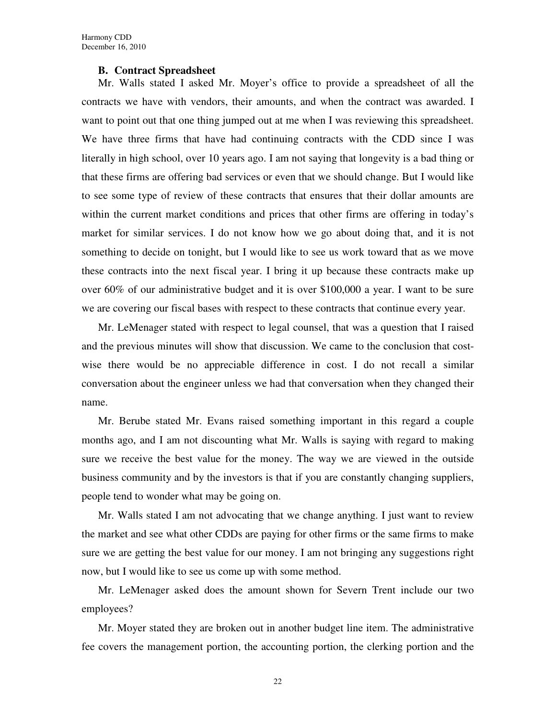#### **B. Contract Spreadsheet**

Mr. Walls stated I asked Mr. Moyer's office to provide a spreadsheet of all the contracts we have with vendors, their amounts, and when the contract was awarded. I want to point out that one thing jumped out at me when I was reviewing this spreadsheet. We have three firms that have had continuing contracts with the CDD since I was literally in high school, over 10 years ago. I am not saying that longevity is a bad thing or that these firms are offering bad services or even that we should change. But I would like to see some type of review of these contracts that ensures that their dollar amounts are within the current market conditions and prices that other firms are offering in today's market for similar services. I do not know how we go about doing that, and it is not something to decide on tonight, but I would like to see us work toward that as we move these contracts into the next fiscal year. I bring it up because these contracts make up over 60% of our administrative budget and it is over \$100,000 a year. I want to be sure we are covering our fiscal bases with respect to these contracts that continue every year.

Mr. LeMenager stated with respect to legal counsel, that was a question that I raised and the previous minutes will show that discussion. We came to the conclusion that costwise there would be no appreciable difference in cost. I do not recall a similar conversation about the engineer unless we had that conversation when they changed their name.

Mr. Berube stated Mr. Evans raised something important in this regard a couple months ago, and I am not discounting what Mr. Walls is saying with regard to making sure we receive the best value for the money. The way we are viewed in the outside business community and by the investors is that if you are constantly changing suppliers, people tend to wonder what may be going on.

Mr. Walls stated I am not advocating that we change anything. I just want to review the market and see what other CDDs are paying for other firms or the same firms to make sure we are getting the best value for our money. I am not bringing any suggestions right now, but I would like to see us come up with some method.

Mr. LeMenager asked does the amount shown for Severn Trent include our two employees?

Mr. Moyer stated they are broken out in another budget line item. The administrative fee covers the management portion, the accounting portion, the clerking portion and the

22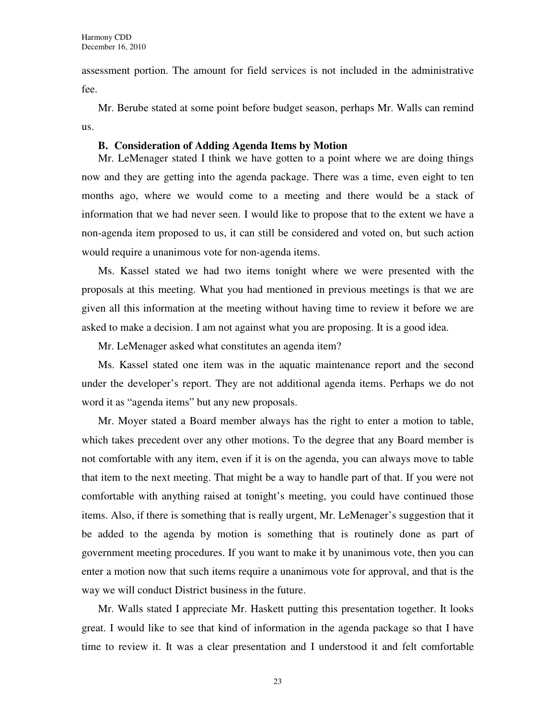assessment portion. The amount for field services is not included in the administrative fee.

Mr. Berube stated at some point before budget season, perhaps Mr. Walls can remind us.

#### **B. Consideration of Adding Agenda Items by Motion**

Mr. LeMenager stated I think we have gotten to a point where we are doing things now and they are getting into the agenda package. There was a time, even eight to ten months ago, where we would come to a meeting and there would be a stack of information that we had never seen. I would like to propose that to the extent we have a non-agenda item proposed to us, it can still be considered and voted on, but such action would require a unanimous vote for non-agenda items.

Ms. Kassel stated we had two items tonight where we were presented with the proposals at this meeting. What you had mentioned in previous meetings is that we are given all this information at the meeting without having time to review it before we are asked to make a decision. I am not against what you are proposing. It is a good idea.

Mr. LeMenager asked what constitutes an agenda item?

Ms. Kassel stated one item was in the aquatic maintenance report and the second under the developer's report. They are not additional agenda items. Perhaps we do not word it as "agenda items" but any new proposals.

Mr. Moyer stated a Board member always has the right to enter a motion to table, which takes precedent over any other motions. To the degree that any Board member is not comfortable with any item, even if it is on the agenda, you can always move to table that item to the next meeting. That might be a way to handle part of that. If you were not comfortable with anything raised at tonight's meeting, you could have continued those items. Also, if there is something that is really urgent, Mr. LeMenager's suggestion that it be added to the agenda by motion is something that is routinely done as part of government meeting procedures. If you want to make it by unanimous vote, then you can enter a motion now that such items require a unanimous vote for approval, and that is the way we will conduct District business in the future.

Mr. Walls stated I appreciate Mr. Haskett putting this presentation together. It looks great. I would like to see that kind of information in the agenda package so that I have time to review it. It was a clear presentation and I understood it and felt comfortable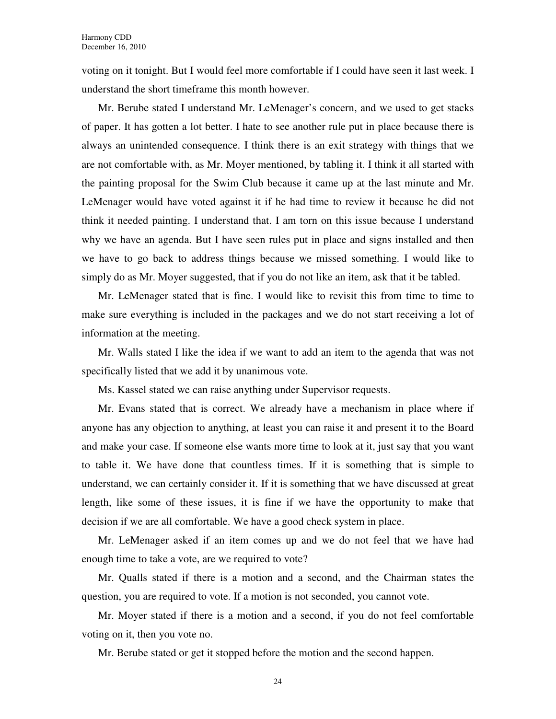voting on it tonight. But I would feel more comfortable if I could have seen it last week. I understand the short timeframe this month however.

Mr. Berube stated I understand Mr. LeMenager's concern, and we used to get stacks of paper. It has gotten a lot better. I hate to see another rule put in place because there is always an unintended consequence. I think there is an exit strategy with things that we are not comfortable with, as Mr. Moyer mentioned, by tabling it. I think it all started with the painting proposal for the Swim Club because it came up at the last minute and Mr. LeMenager would have voted against it if he had time to review it because he did not think it needed painting. I understand that. I am torn on this issue because I understand why we have an agenda. But I have seen rules put in place and signs installed and then we have to go back to address things because we missed something. I would like to simply do as Mr. Moyer suggested, that if you do not like an item, ask that it be tabled.

Mr. LeMenager stated that is fine. I would like to revisit this from time to time to make sure everything is included in the packages and we do not start receiving a lot of information at the meeting.

Mr. Walls stated I like the idea if we want to add an item to the agenda that was not specifically listed that we add it by unanimous vote.

Ms. Kassel stated we can raise anything under Supervisor requests.

Mr. Evans stated that is correct. We already have a mechanism in place where if anyone has any objection to anything, at least you can raise it and present it to the Board and make your case. If someone else wants more time to look at it, just say that you want to table it. We have done that countless times. If it is something that is simple to understand, we can certainly consider it. If it is something that we have discussed at great length, like some of these issues, it is fine if we have the opportunity to make that decision if we are all comfortable. We have a good check system in place.

Mr. LeMenager asked if an item comes up and we do not feel that we have had enough time to take a vote, are we required to vote?

Mr. Qualls stated if there is a motion and a second, and the Chairman states the question, you are required to vote. If a motion is not seconded, you cannot vote.

Mr. Moyer stated if there is a motion and a second, if you do not feel comfortable voting on it, then you vote no.

Mr. Berube stated or get it stopped before the motion and the second happen.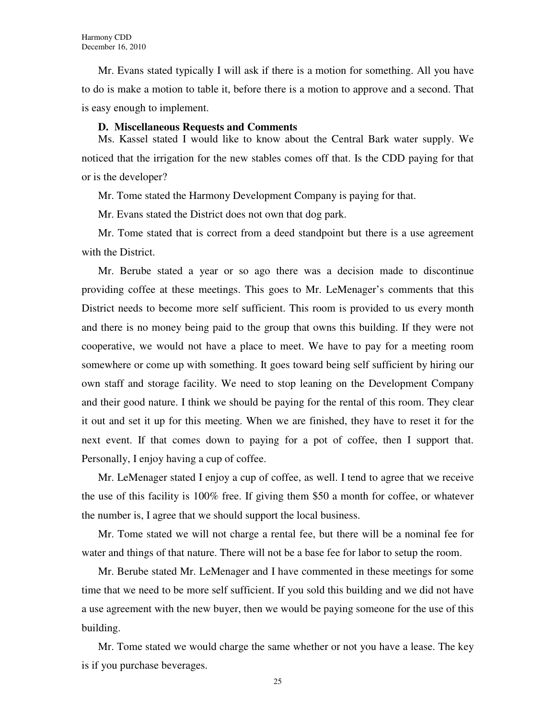Mr. Evans stated typically I will ask if there is a motion for something. All you have to do is make a motion to table it, before there is a motion to approve and a second. That is easy enough to implement.

#### **D. Miscellaneous Requests and Comments**

Ms. Kassel stated I would like to know about the Central Bark water supply. We noticed that the irrigation for the new stables comes off that. Is the CDD paying for that or is the developer?

Mr. Tome stated the Harmony Development Company is paying for that.

Mr. Evans stated the District does not own that dog park.

Mr. Tome stated that is correct from a deed standpoint but there is a use agreement with the District.

Mr. Berube stated a year or so ago there was a decision made to discontinue providing coffee at these meetings. This goes to Mr. LeMenager's comments that this District needs to become more self sufficient. This room is provided to us every month and there is no money being paid to the group that owns this building. If they were not cooperative, we would not have a place to meet. We have to pay for a meeting room somewhere or come up with something. It goes toward being self sufficient by hiring our own staff and storage facility. We need to stop leaning on the Development Company and their good nature. I think we should be paying for the rental of this room. They clear it out and set it up for this meeting. When we are finished, they have to reset it for the next event. If that comes down to paying for a pot of coffee, then I support that. Personally, I enjoy having a cup of coffee.

Mr. LeMenager stated I enjoy a cup of coffee, as well. I tend to agree that we receive the use of this facility is 100% free. If giving them \$50 a month for coffee, or whatever the number is, I agree that we should support the local business.

Mr. Tome stated we will not charge a rental fee, but there will be a nominal fee for water and things of that nature. There will not be a base fee for labor to setup the room.

Mr. Berube stated Mr. LeMenager and I have commented in these meetings for some time that we need to be more self sufficient. If you sold this building and we did not have a use agreement with the new buyer, then we would be paying someone for the use of this building.

Mr. Tome stated we would charge the same whether or not you have a lease. The key is if you purchase beverages.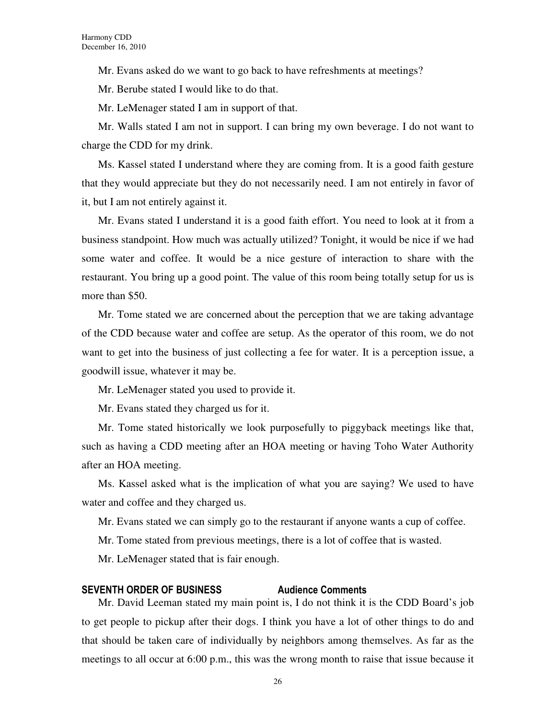Mr. Evans asked do we want to go back to have refreshments at meetings?

Mr. Berube stated I would like to do that.

Mr. LeMenager stated I am in support of that.

Mr. Walls stated I am not in support. I can bring my own beverage. I do not want to charge the CDD for my drink.

Ms. Kassel stated I understand where they are coming from. It is a good faith gesture that they would appreciate but they do not necessarily need. I am not entirely in favor of it, but I am not entirely against it.

Mr. Evans stated I understand it is a good faith effort. You need to look at it from a business standpoint. How much was actually utilized? Tonight, it would be nice if we had some water and coffee. It would be a nice gesture of interaction to share with the restaurant. You bring up a good point. The value of this room being totally setup for us is more than \$50.

Mr. Tome stated we are concerned about the perception that we are taking advantage of the CDD because water and coffee are setup. As the operator of this room, we do not want to get into the business of just collecting a fee for water. It is a perception issue, a goodwill issue, whatever it may be.

Mr. LeMenager stated you used to provide it.

Mr. Evans stated they charged us for it.

Mr. Tome stated historically we look purposefully to piggyback meetings like that, such as having a CDD meeting after an HOA meeting or having Toho Water Authority after an HOA meeting.

Ms. Kassel asked what is the implication of what you are saying? We used to have water and coffee and they charged us.

Mr. Evans stated we can simply go to the restaurant if anyone wants a cup of coffee.

Mr. Tome stated from previous meetings, there is a lot of coffee that is wasted.

Mr. LeMenager stated that is fair enough.

#### SEVENTH ORDER OF BUSINESS Audience Comments

Mr. David Leeman stated my main point is, I do not think it is the CDD Board's job to get people to pickup after their dogs. I think you have a lot of other things to do and that should be taken care of individually by neighbors among themselves. As far as the meetings to all occur at 6:00 p.m., this was the wrong month to raise that issue because it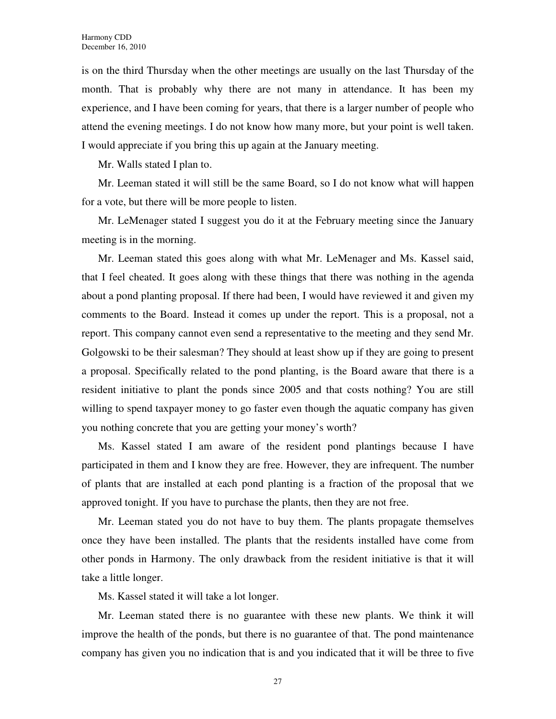is on the third Thursday when the other meetings are usually on the last Thursday of the month. That is probably why there are not many in attendance. It has been my experience, and I have been coming for years, that there is a larger number of people who attend the evening meetings. I do not know how many more, but your point is well taken. I would appreciate if you bring this up again at the January meeting.

Mr. Walls stated I plan to.

Mr. Leeman stated it will still be the same Board, so I do not know what will happen for a vote, but there will be more people to listen.

Mr. LeMenager stated I suggest you do it at the February meeting since the January meeting is in the morning.

Mr. Leeman stated this goes along with what Mr. LeMenager and Ms. Kassel said, that I feel cheated. It goes along with these things that there was nothing in the agenda about a pond planting proposal. If there had been, I would have reviewed it and given my comments to the Board. Instead it comes up under the report. This is a proposal, not a report. This company cannot even send a representative to the meeting and they send Mr. Golgowski to be their salesman? They should at least show up if they are going to present a proposal. Specifically related to the pond planting, is the Board aware that there is a resident initiative to plant the ponds since 2005 and that costs nothing? You are still willing to spend taxpayer money to go faster even though the aquatic company has given you nothing concrete that you are getting your money's worth?

Ms. Kassel stated I am aware of the resident pond plantings because I have participated in them and I know they are free. However, they are infrequent. The number of plants that are installed at each pond planting is a fraction of the proposal that we approved tonight. If you have to purchase the plants, then they are not free.

Mr. Leeman stated you do not have to buy them. The plants propagate themselves once they have been installed. The plants that the residents installed have come from other ponds in Harmony. The only drawback from the resident initiative is that it will take a little longer.

Ms. Kassel stated it will take a lot longer.

Mr. Leeman stated there is no guarantee with these new plants. We think it will improve the health of the ponds, but there is no guarantee of that. The pond maintenance company has given you no indication that is and you indicated that it will be three to five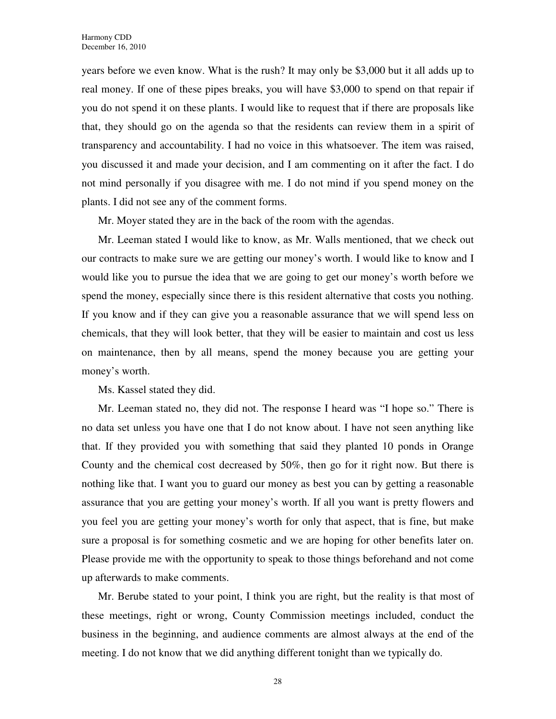years before we even know. What is the rush? It may only be \$3,000 but it all adds up to real money. If one of these pipes breaks, you will have \$3,000 to spend on that repair if you do not spend it on these plants. I would like to request that if there are proposals like that, they should go on the agenda so that the residents can review them in a spirit of transparency and accountability. I had no voice in this whatsoever. The item was raised, you discussed it and made your decision, and I am commenting on it after the fact. I do not mind personally if you disagree with me. I do not mind if you spend money on the plants. I did not see any of the comment forms.

Mr. Moyer stated they are in the back of the room with the agendas.

Mr. Leeman stated I would like to know, as Mr. Walls mentioned, that we check out our contracts to make sure we are getting our money's worth. I would like to know and I would like you to pursue the idea that we are going to get our money's worth before we spend the money, especially since there is this resident alternative that costs you nothing. If you know and if they can give you a reasonable assurance that we will spend less on chemicals, that they will look better, that they will be easier to maintain and cost us less on maintenance, then by all means, spend the money because you are getting your money's worth.

Ms. Kassel stated they did.

Mr. Leeman stated no, they did not. The response I heard was "I hope so." There is no data set unless you have one that I do not know about. I have not seen anything like that. If they provided you with something that said they planted 10 ponds in Orange County and the chemical cost decreased by 50%, then go for it right now. But there is nothing like that. I want you to guard our money as best you can by getting a reasonable assurance that you are getting your money's worth. If all you want is pretty flowers and you feel you are getting your money's worth for only that aspect, that is fine, but make sure a proposal is for something cosmetic and we are hoping for other benefits later on. Please provide me with the opportunity to speak to those things beforehand and not come up afterwards to make comments.

Mr. Berube stated to your point, I think you are right, but the reality is that most of these meetings, right or wrong, County Commission meetings included, conduct the business in the beginning, and audience comments are almost always at the end of the meeting. I do not know that we did anything different tonight than we typically do.